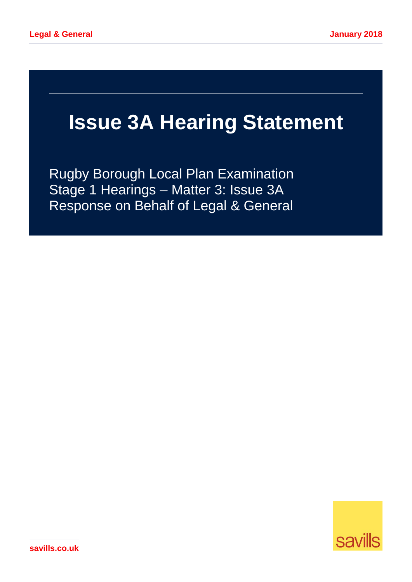# **Issue 3A Hearing Statement**

Rugby Borough Local Plan Examination Stage 1 Hearings – Matter 3: Issue 3A Response on Behalf of Legal & General



**savills.co.uk**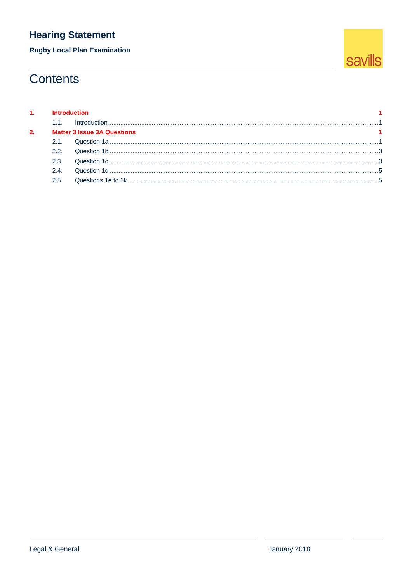**Rugby Local Plan Examination** 

# **Contents**

|    | 1. Introduction                    |  |  |
|----|------------------------------------|--|--|
|    |                                    |  |  |
| 2. | <b>Matter 3 Issue 3A Questions</b> |  |  |
|    |                                    |  |  |
|    | 22                                 |  |  |
|    | 23                                 |  |  |
|    | 24                                 |  |  |
|    | 25                                 |  |  |
|    |                                    |  |  |

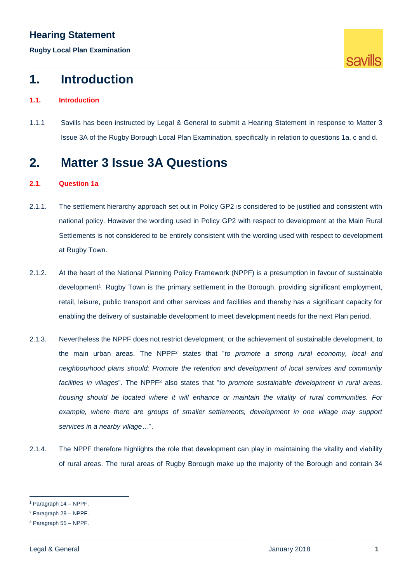**Rugby Local Plan Examination**



# <span id="page-2-0"></span>**1. Introduction**

## <span id="page-2-1"></span>**1.1. Introduction**

1.1.1 Savills has been instructed by Legal & General to submit a Hearing Statement in response to Matter 3 Issue 3A of the Rugby Borough Local Plan Examination, specifically in relation to questions 1a, c and d.

# <span id="page-2-2"></span>**2. Matter 3 Issue 3A Questions**

## <span id="page-2-3"></span>**2.1. Question 1a**

- 2.1.1. The settlement hierarchy approach set out in Policy GP2 is considered to be justified and consistent with national policy. However the wording used in Policy GP2 with respect to development at the Main Rural Settlements is not considered to be entirely consistent with the wording used with respect to development at Rugby Town.
- 2.1.2. At the heart of the National Planning Policy Framework (NPPF) is a presumption in favour of sustainable development<sup>1</sup>. Rugby Town is the primary settlement in the Borough, providing significant employment, retail, leisure, public transport and other services and facilities and thereby has a significant capacity for enabling the delivery of sustainable development to meet development needs for the next Plan period.
- 2.1.3. Nevertheless the NPPF does not restrict development, or the achievement of sustainable development, to the main urban areas. The NPPF<sup>2</sup> states that "*to promote a strong rural economy, local and neighbourhood plans should: Promote the retention and development of local services and community*  facilities in villages<sup>"</sup>. The NPPF<sup>3</sup> also states that "*to promote sustainable development in rural areas*, *housing should be located where it will enhance or maintain the vitality of rural communities. For*  example, where there are groups of smaller settlements, development in one village may support *services in a nearby village…*".
- 2.1.4. The NPPF therefore highlights the role that development can play in maintaining the vitality and viability of rural areas. The rural areas of Rugby Borough make up the majority of the Borough and contain 34

<sup>1</sup> Paragraph 14 – NPPF.

<sup>2</sup> Paragraph 28 – NPPF.

<sup>3</sup> Paragraph 55 – NPPF.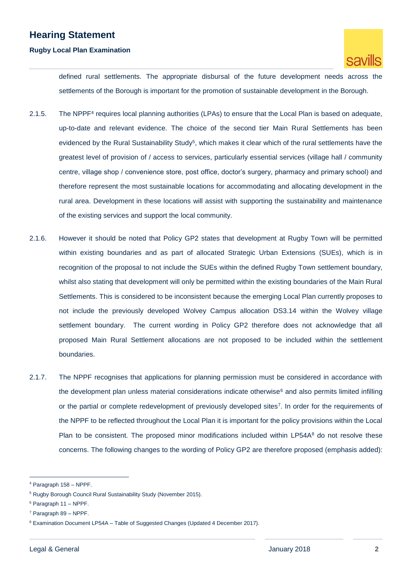## **Rugby Local Plan Examination**



defined rural settlements. The appropriate disbursal of the future development needs across the settlements of the Borough is important for the promotion of sustainable development in the Borough.

- 2.1.5. The NPPF<sup>4</sup> requires local planning authorities (LPAs) to ensure that the Local Plan is based on adequate, up-to-date and relevant evidence. The choice of the second tier Main Rural Settlements has been evidenced by the Rural Sustainability Study<sup>5</sup>, which makes it clear which of the rural settlements have the greatest level of provision of / access to services, particularly essential services (village hall / community centre, village shop / convenience store, post office, doctor's surgery, pharmacy and primary school) and therefore represent the most sustainable locations for accommodating and allocating development in the rural area. Development in these locations will assist with supporting the sustainability and maintenance of the existing services and support the local community.
- 2.1.6. However it should be noted that Policy GP2 states that development at Rugby Town will be permitted within existing boundaries and as part of allocated Strategic Urban Extensions (SUEs), which is in recognition of the proposal to not include the SUEs within the defined Rugby Town settlement boundary, whilst also stating that development will only be permitted within the existing boundaries of the Main Rural Settlements. This is considered to be inconsistent because the emerging Local Plan currently proposes to not include the previously developed Wolvey Campus allocation DS3.14 within the Wolvey village settlement boundary. The current wording in Policy GP2 therefore does not acknowledge that all proposed Main Rural Settlement allocations are not proposed to be included within the settlement boundaries.
- 2.1.7. The NPPF recognises that applications for planning permission must be considered in accordance with the development plan unless material considerations indicate otherwise $<sup>6</sup>$  and also permits limited infilling</sup> or the partial or complete redevelopment of previously developed sites<sup>7</sup> . In order for the requirements of the NPPF to be reflected throughout the Local Plan it is important for the policy provisions within the Local Plan to be consistent. The proposed minor modifications included within LP54A<sup>8</sup> do not resolve these concerns. The following changes to the wording of Policy GP2 are therefore proposed (emphasis added):

<sup>4</sup> Paragraph 158 – NPPF.

<sup>5</sup> Rugby Borough Council Rural Sustainability Study (November 2015).

 $6$  Paragraph 11 – NPPF.

<sup>7</sup> Paragraph 89 – NPPF.

<sup>&</sup>lt;sup>8</sup> Examination Document LP54A – Table of Suggested Changes (Updated 4 December 2017).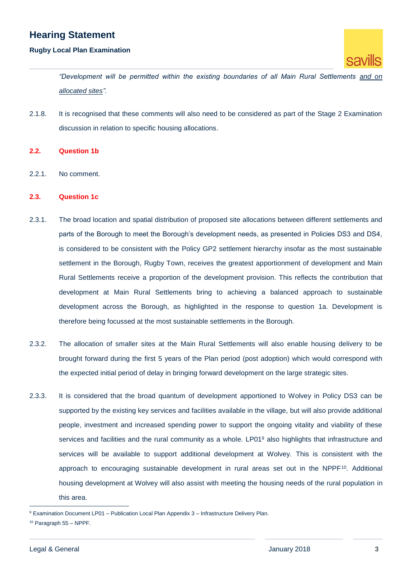### **Rugby Local Plan Examination**



*"Development will be permitted within the existing boundaries of all Main Rural Settlements and on allocated sites".* 

- 2.1.8. It is recognised that these comments will also need to be considered as part of the Stage 2 Examination discussion in relation to specific housing allocations.
- <span id="page-4-0"></span>**2.2. Question 1b**
- 2.2.1. No comment.
- <span id="page-4-1"></span>**2.3. Question 1c**
- 2.3.1. The broad location and spatial distribution of proposed site allocations between different settlements and parts of the Borough to meet the Borough's development needs, as presented in Policies DS3 and DS4, is considered to be consistent with the Policy GP2 settlement hierarchy insofar as the most sustainable settlement in the Borough, Rugby Town, receives the greatest apportionment of development and Main Rural Settlements receive a proportion of the development provision. This reflects the contribution that development at Main Rural Settlements bring to achieving a balanced approach to sustainable development across the Borough, as highlighted in the response to question 1a. Development is therefore being focussed at the most sustainable settlements in the Borough.
- 2.3.2. The allocation of smaller sites at the Main Rural Settlements will also enable housing delivery to be brought forward during the first 5 years of the Plan period (post adoption) which would correspond with the expected initial period of delay in bringing forward development on the large strategic sites.
- 2.3.3. It is considered that the broad quantum of development apportioned to Wolvey in Policy DS3 can be supported by the existing key services and facilities available in the village, but will also provide additional people, investment and increased spending power to support the ongoing vitality and viability of these services and facilities and the rural community as a whole. LP01<sup>9</sup> also highlights that infrastructure and services will be available to support additional development at Wolvey. This is consistent with the approach to encouraging sustainable development in rural areas set out in the NPPF<sup>10</sup>. Additional housing development at Wolvey will also assist with meeting the housing needs of the rural population in this area.

<sup>&</sup>lt;sup>9</sup> Examination Document LP01 – Publication Local Plan Appendix 3 – Infrastructure Delivery Plan.

<sup>10</sup> Paragraph 55 – NPPF.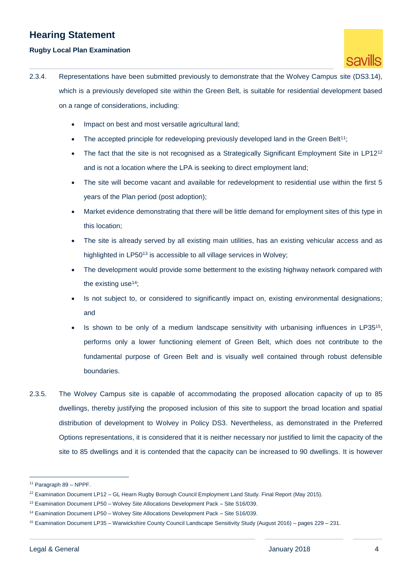## **Rugby Local Plan Examination**



- 2.3.4. Representations have been submitted previously to demonstrate that the Wolvey Campus site (DS3.14), which is a previously developed site within the Green Belt, is suitable for residential development based on a range of considerations, including:
	- Impact on best and most versatile agricultural land;
	- The accepted principle for redeveloping previously developed land in the Green Belt<sup>11</sup>;
	- $\bullet$  The fact that the site is not recognised as a Strategically Significant Employment Site in LP12<sup>12</sup> and is not a location where the LPA is seeking to direct employment land;
	- The site will become vacant and available for redevelopment to residential use within the first 5 years of the Plan period (post adoption);
	- Market evidence demonstrating that there will be little demand for employment sites of this type in this location;
	- The site is already served by all existing main utilities, has an existing vehicular access and as highlighted in LP50<sup>13</sup> is accessible to all village services in Wolvey:
	- The development would provide some betterment to the existing highway network compared with the existing use $14$ ;
	- Is not subject to, or considered to significantly impact on, existing environmental designations: and
	- $\bullet$  Is shown to be only of a medium landscape sensitivity with urbanising influences in LP35<sup>15</sup>, performs only a lower functioning element of Green Belt, which does not contribute to the fundamental purpose of Green Belt and is visually well contained through robust defensible boundaries.
- 2.3.5. The Wolvey Campus site is capable of accommodating the proposed allocation capacity of up to 85 dwellings, thereby justifying the proposed inclusion of this site to support the broad location and spatial distribution of development to Wolvey in Policy DS3. Nevertheless, as demonstrated in the Preferred Options representations, it is considered that it is neither necessary nor justified to limit the capacity of the site to 85 dwellings and it is contended that the capacity can be increased to 90 dwellings. It is however

<sup>11</sup> Paragraph 89 – NPPF.

<sup>&</sup>lt;sup>12</sup> Examination Document LP12 – GL Hearn Rugby Borough Council Employment Land Study. Final Report (May 2015).

<sup>&</sup>lt;sup>13</sup> Examination Document LP50 – Wolvey Site Allocations Development Pack – Site S16/039.

<sup>&</sup>lt;sup>14</sup> Examination Document LP50 – Wolvey Site Allocations Development Pack – Site S16/039.

<sup>15</sup> Examination Document LP35 – Warwickshire County Council Landscape Sensitivity Study (August 2016) – pages 229 – 231.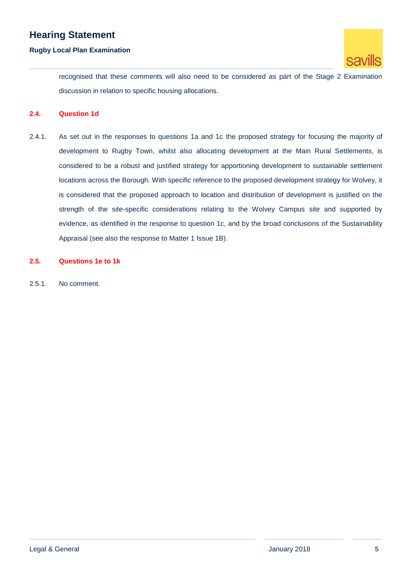#### **Rugby Local Plan Examination**



recognised that these comments will also need to be considered as part of the Stage 2 Examination discussion in relation to specific housing allocations.

#### <span id="page-6-0"></span>**2.4. Question 1d**

2.4.1. As set out in the responses to questions 1a and 1c the proposed strategy for focusing the majority of development to Rugby Town, whilst also allocating development at the Main Rural Settlements, is considered to be a robust and justified strategy for apportioning development to sustainable settlement locations across the Borough. With specific reference to the proposed development strategy for Wolvey, it is considered that the proposed approach to location and distribution of development is justified on the strength of the site-specific considerations relating to the Wolvey Campus site and supported by evidence, as identified in the response to question 1c, and by the broad conclusions of the Sustainability Appraisal (see also the response to Matter 1 Issue 1B).

## <span id="page-6-1"></span>**2.5. Questions 1e to 1k**

2.5.1. No comment.